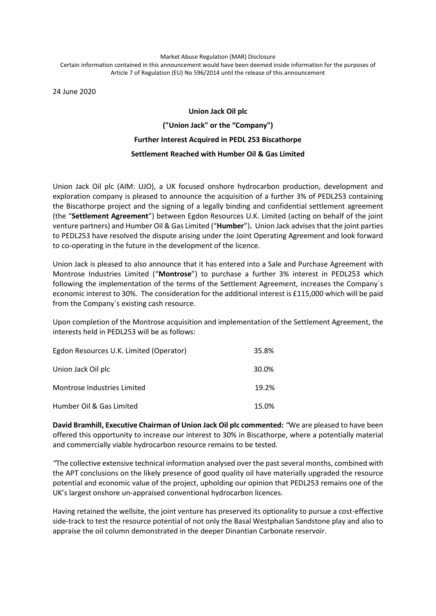## Market Abuse Regulation (MAR) Disclosure Certain information contained in this announcement would have been deemed inside information for the purposes of Article 7 of Regulation (EU) No 596/2014 until the release of this announcement

24 June 2020

## **Union Jack Oil plc ("Union Jack" or the "Company") Further Interest Acquired in PEDL 253 Biscathorpe Settlement Reached with Humber Oil & Gas Limited**

Union Jack Oil plc (AIM: UJO), a UK focused onshore hydrocarbon production, development and exploration company is pleased to announce the acquisition of a further 3% of PEDL253 containing the Biscathorpe project and the signing of a legally binding and confidential settlement agreement (the "**Settlement Agreement**") between Egdon Resources U.K. Limited (acting on behalf of the joint venture partners) and Humber Oil & Gas Limited ("**Humber**")**.** Union Jack advisesthat the joint parties to PEDL253 have resolved the dispute arising under the Joint Operating Agreement and look forward to co-operating in the future in the development of the licence.

Union Jack is pleased to also announce that it has entered into a Sale and Purchase Agreement with Montrose Industries Limited ("**Montrose**") to purchase a further 3% interest in PEDL253 which following the implementation of the terms of the Settlement Agreement, increases the Company`s economic interest to 30%. The consideration for the additional interest is £115,000 which will be paid from the Company`s existing cash resource.

Upon completion of the Montrose acquisition and implementation of the Settlement Agreement, the interests held in PEDL253 will be as follows:

| Egdon Resources U.K. Limited (Operator) | 35.8% |
|-----------------------------------------|-------|
| Union Jack Oil plc                      | 30.0% |
| Montrose Industries Limited             | 19.2% |
| Humber Oil & Gas Limited                | 15.0% |

**David Bramhill, Executive Chairman of Union Jack Oil plc commented:** *"*We are pleased to have been offered this opportunity to increase our interest to 30% in Biscathorpe, where a potentially material and commercially viable hydrocarbon resource remains to be tested.

*"*The collective extensive technical information analysed over the past several months, combined with the APT conclusions on the likely presence of good quality oil have materially upgraded the resource potential and economic value of the project, upholding our opinion that PEDL253 remains one of the UK's largest onshore un-appraised conventional hydrocarbon licences.

Having retained the wellsite, the joint venture has preserved its optionality to pursue a cost-effective side-track to test the resource potential of not only the Basal Westphalian Sandstone play and also to appraise the oil column demonstrated in the deeper Dinantian Carbonate reservoir.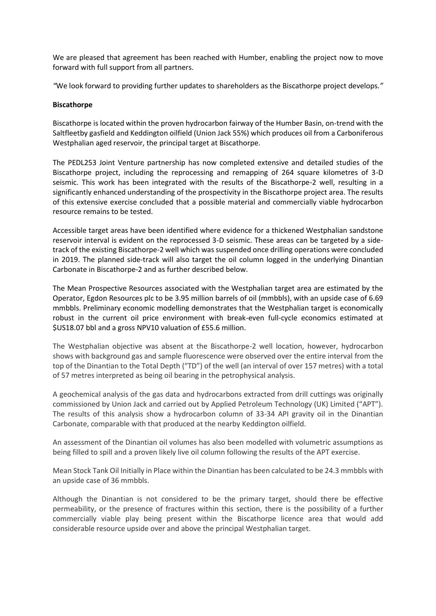We are pleased that agreement has been reached with Humber, enabling the project now to move forward with full support from all partners.

*"*We look forward to providing further updates to shareholders as the Biscathorpe project develops*."*

## **Biscathorpe**

Biscathorpe is located within the proven hydrocarbon fairway of the Humber Basin, on-trend with the Saltfleetby gasfield and Keddington oilfield (Union Jack 55%) which produces oil from a Carboniferous Westphalian aged reservoir, the principal target at Biscathorpe.

The PEDL253 Joint Venture partnership has now completed extensive and detailed studies of the Biscathorpe project, including the reprocessing and remapping of 264 square kilometres of 3-D seismic. This work has been integrated with the results of the Biscathorpe-2 well, resulting in a significantly enhanced understanding of the prospectivity in the Biscathorpe project area. The results of this extensive exercise concluded that a possible material and commercially viable hydrocarbon resource remains to be tested.

Accessible target areas have been identified where evidence for a thickened Westphalian sandstone reservoir interval is evident on the reprocessed 3-D seismic. These areas can be targeted by a sidetrack of the existing Biscathorpe-2 well which was suspended once drilling operations were concluded in 2019. The planned side-track will also target the oil column logged in the underlying Dinantian Carbonate in Biscathorpe-2 and as further described below.

The Mean Prospective Resources associated with the Westphalian target area are estimated by the Operator, Egdon Resources plc to be 3.95 million barrels of oil (mmbbls), with an upside case of 6.69 mmbbls. Preliminary economic modelling demonstrates that the Westphalian target is economically robust in the current oil price environment with break-even full-cycle economics estimated at \$US18.07 bbl and a gross NPV10 valuation of £55.6 million.

The Westphalian objective was absent at the Biscathorpe-2 well location, however, hydrocarbon shows with background gas and sample fluorescence were observed over the entire interval from the top of the Dinantian to the Total Depth ("TD") of the well (an interval of over 157 metres) with a total of 57 metres interpreted as being oil bearing in the petrophysical analysis.

A geochemical analysis of the gas data and hydrocarbons extracted from drill cuttings was originally commissioned by Union Jack and carried out by Applied Petroleum Technology (UK) Limited ("APT"). The results of this analysis show a hydrocarbon column of 33-34 API gravity oil in the Dinantian Carbonate, comparable with that produced at the nearby Keddington oilfield.

An assessment of the Dinantian oil volumes has also been modelled with volumetric assumptions as being filled to spill and a proven likely live oil column following the results of the APT exercise.

Mean Stock Tank Oil Initially in Place within the Dinantian has been calculated to be 24.3 mmbbls with an upside case of 36 mmbbls.

Although the Dinantian is not considered to be the primary target, should there be effective permeability, or the presence of fractures within this section, there is the possibility of a further commercially viable play being present within the Biscathorpe licence area that would add considerable resource upside over and above the principal Westphalian target.